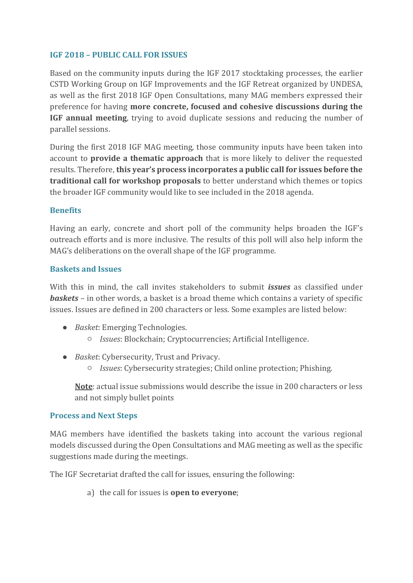### **IGF 2018 – PUBLIC CALL FOR ISSUES**

Based on the community inputs during the IGF 2017 stocktaking processes, the earlier CSTD Working Group on IGF Improvements and the IGF Retreat organized by UNDESA, as well as the first 2018 IGF Open Consultations, many MAG members expressed their preference for having **more concrete, focused and cohesive discussions during the IGF annual meeting**, trying to avoid duplicate sessions and reducing the number of parallel sessions.

During the first 2018 IGF MAG meeting, those community inputs have been taken into account to **provide a thematic approach** that is more likely to deliver the requested results. Therefore, **this year's process incorporates a public call for issues before the traditional call for workshop proposals** to better understand which themes or topics the broader IGF community would like to see included in the 2018 agenda.

### **Benefits**

Having an early, concrete and short poll of the community helps broaden the IGF's outreach efforts and is more inclusive. The results of this poll will also help inform the MAG's deliberations on the overall shape of the IGF programme.

## **Baskets and Issues**

With this in mind, the call invites stakeholders to submit *issues* as classified under *baskets* – in other words, a basket is a broad theme which contains a variety of specific issues. Issues are defined in 200 characters or less. Some examples are listed below:

- *Basket*: Emerging Technologies.
	- *Issues*: Blockchain; Cryptocurrencies; Artificial Intelligence.
- *Basket*: Cybersecurity, Trust and Privacy.
	- *Issues*: Cybersecurity strategies; Child online protection; Phishing.

**Note**: actual issue submissions would describe the issue in 200 characters or less and not simply bullet points

### **Process and Next Steps**

MAG members have identified the baskets taking into account the various regional models discussed during the Open Consultations and MAG meeting as well as the specific suggestions made during the meetings.

The IGF Secretariat drafted the call for issues, ensuring the following:

a) the call for issues is **open to everyone**;